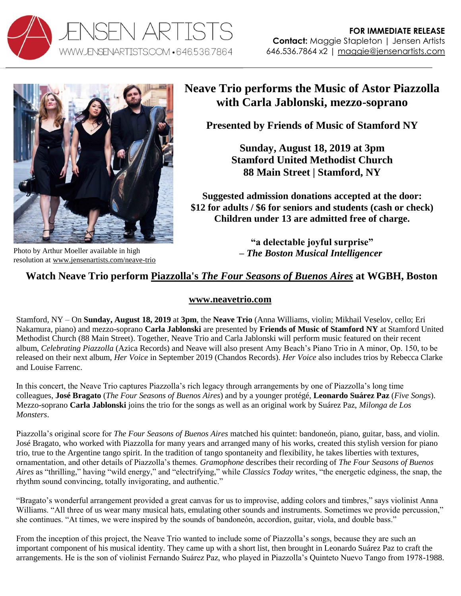



resolution at [www.jensenartists.com/neave-trio](http://www.jensenartists.com/neave-trio)

# **Neave Trio performs the Music of Astor Piazzolla with Carla Jablonski, mezzo-soprano**

**Presented by Friends of Music of Stamford NY**

**Sunday, August 18, 2019 at 3pm Stamford United Methodist Church 88 Main Street | Stamford, NY**

**Suggested admission donations accepted at the door: \$12 for adults / \$6 for seniors and students (cash or check) Children under 13 are admitted free of charge.**

> **"a delectable joyful surprise" –** *The Boston Musical Intelligencer*

## **Watch Neave Trio perform Piazzolla's** *[The Four Seasons of Buenos Aires](https://youtu.be/Xs3a6h4OV-E)* **at WGBH, Boston**

### **[www.neavetrio.com](http://www.neavetrio.com/)**

Stamford, NY – On **Sunday, August 18, 2019** at **3pm**, the **Neave Trio** (Anna Williams, violin; Mikhail Veselov, cello; Eri Nakamura, piano) and mezzo-soprano **Carla Jablonski** are presented by **Friends of Music of Stamford NY** at Stamford United Methodist Church (88 Main Street). Together, Neave Trio and Carla Jablonski will perform music featured on their recent album, *Celebrating Piazzolla* (Azica Records) and Neave will also present Amy Beach's Piano Trio in A minor, Op. 150, to be released on their next album, *Her Voice* in September 2019 (Chandos Records). *Her Voice* also includes trios by Rebecca Clarke and Louise Farrenc.

In this concert, the Neave Trio captures Piazzolla's rich legacy through arrangements by one of Piazzolla's long time colleagues, **José Bragato** (*The Four Seasons of Buenos Aires*) and by a younger protégé, **Leonardo Suárez Paz** (*Five Songs*). Mezzo-soprano **Carla Jablonski** joins the trio for the songs as well as an original work by Suárez Paz, *Milonga de Los Monsters*.

Piazzolla's original score for *The Four Seasons of Buenos Aires* matched his quintet: bandoneón, piano, guitar, bass, and violin. José Bragato, who worked with Piazzolla for many years and arranged many of his works, created this stylish version for piano trio, true to the Argentine tango spirit. In the tradition of tango spontaneity and flexibility, he takes liberties with textures, ornamentation, and other details of Piazzolla's themes. *Gramophone* describes their recording of *The Four Seasons of Buenos Aires* as "thrilling," having "wild energy," and "electrifying," while *Classics Today* writes, "the energetic edginess, the snap, the rhythm sound convincing, totally invigorating, and authentic."

"Bragato's wonderful arrangement provided a great canvas for us to improvise, adding colors and timbres," says violinist Anna Williams. "All three of us wear many musical hats, emulating other sounds and instruments. Sometimes we provide percussion," she continues. "At times, we were inspired by the sounds of bandoneón, accordion, guitar, viola, and double bass."

From the inception of this project, the Neave Trio wanted to include some of Piazzolla's songs, because they are such an important component of his musical identity. They came up with a short list, then brought in Leonardo Suárez Paz to craft the arrangements. He is the son of violinist Fernando Suárez Paz, who played in Piazzolla's Quinteto Nuevo Tango from 1978-1988.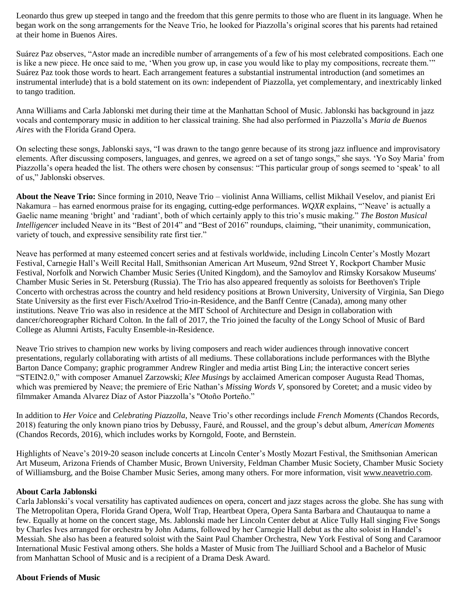Leonardo thus grew up steeped in tango and the freedom that this genre permits to those who are fluent in its language. When he began work on the song arrangements for the Neave Trio, he looked for Piazzolla's original scores that his parents had retained at their home in Buenos Aires.

Suárez Paz observes, "Astor made an incredible number of arrangements of a few of his most celebrated compositions. Each one is like a new piece. He once said to me, 'When you grow up, in case you would like to play my compositions, recreate them.'" Suárez Paz took those words to heart. Each arrangement features a substantial instrumental introduction (and sometimes an instrumental interlude) that is a bold statement on its own: independent of Piazzolla, yet complementary, and inextricably linked to tango tradition.

Anna Williams and Carla Jablonski met during their time at the Manhattan School of Music. Jablonski has background in jazz vocals and contemporary music in addition to her classical training. She had also performed in Piazzolla's *Maria de Buenos Aires* with the Florida Grand Opera.

On selecting these songs, Jablonski says, "I was drawn to the tango genre because of its strong jazz influence and improvisatory elements. After discussing composers, languages, and genres, we agreed on a set of tango songs," she says. 'Yo Soy Maria' from Piazzolla's opera headed the list. The others were chosen by consensus: "This particular group of songs seemed to 'speak' to all of us," Jablonski observes.

**About the Neave Trio:** Since forming in 2010, Neave Trio – violinist Anna Williams, cellist Mikhail Veselov, and pianist Eri Nakamura – has earned enormous praise for its engaging, cutting-edge performances. *WQXR* explains, "'Neave' is actually a Gaelic name meaning 'bright' and 'radiant', both of which certainly apply to this trio's music making." *The Boston Musical Intelligencer* included Neave in its "Best of 2014" and "Best of 2016" roundups, claiming, "their unanimity, communication, variety of touch, and expressive sensibility rate first tier."

Neave has performed at many esteemed concert series and at festivals worldwide, including Lincoln Center's Mostly Mozart Festival, Carnegie Hall's Weill Recital Hall, Smithsonian American Art Museum, 92nd Street Y, Rockport Chamber Music Festival, Norfolk and Norwich Chamber Music Series (United Kingdom), and the Samoylov and Rimsky Korsakow Museums' Chamber Music Series in St. Petersburg (Russia). The Trio has also appeared frequently as soloists for Beethoven's Triple Concerto with orchestras across the country and held residency positions at Brown University, University of Virginia, San Diego State University as the first ever Fisch/Axelrod Trio-in-Residence, and the Banff Centre (Canada), among many other institutions. Neave Trio was also in residence at the MIT School of Architecture and Design in collaboration with dancer/choreographer Richard Colton. In the fall of 2017, the Trio joined the faculty of the Longy School of Music of Bard College as Alumni Artists, Faculty Ensemble-in-Residence.

Neave Trio strives to champion new works by living composers and reach wider audiences through innovative concert presentations, regularly collaborating with artists of all mediums. These collaborations include performances with the Blythe Barton Dance Company; graphic programmer Andrew Ringler and media artist Bing Lin; the interactive concert series "STEIN2.0," with composer Amanuel Zarzowski; *Klee Musings* by acclaimed American composer Augusta Read Thomas, which was premiered by Neave; the premiere of Eric Nathan's *Missing Words V*, sponsored by Coretet; and a music video by filmmaker Amanda Alvarez Díaz of Astor Piazzolla's "Otoño Porteño."

In addition to *Her Voice* and *Celebrating Piazzolla*, Neave Trio's other recordings include *French Moments* (Chandos Records, 2018) featuring the only known piano trios by Debussy, Fauré, and Roussel, and the group's debut album, *American Moments*  (Chandos Records, 2016), which includes works by Korngold, Foote, and Bernstein.

Highlights of Neave's 2019-20 season include concerts at Lincoln Center's Mostly Mozart Festival, the Smithsonian American Art Museum, Arizona Friends of Chamber Music, Brown University, Feldman Chamber Music Society, Chamber Music Society of Williamsburg, and the Boise Chamber Music Series, among many others. For more information, visi[t www.neavetrio.com.](http://www.neavetrio.com/)

#### **About Carla Jablonski**

Carla Jablonski's vocal versatility has captivated audiences on opera, concert and jazz stages across the globe. She has sung with The Metropolitan Opera, Florida Grand Opera, Wolf Trap, Heartbeat Opera, Opera Santa Barbara and Chautauqua to name a few. Equally at home on the concert stage, Ms. Jablonski made her Lincoln Center debut at Alice Tully Hall singing Five Songs by Charles Ives arranged for orchestra by John Adams, followed by her Carnegie Hall debut as the alto soloist in Handel's Messiah. She also has been a featured soloist with the Saint Paul Chamber Orchestra, New York Festival of Song and Caramoor International Music Festival among others. She holds a Master of Music from The Juilliard School and a Bachelor of Music from Manhattan School of Music and is a recipient of a Drama Desk Award.

#### **About Friends of Music**